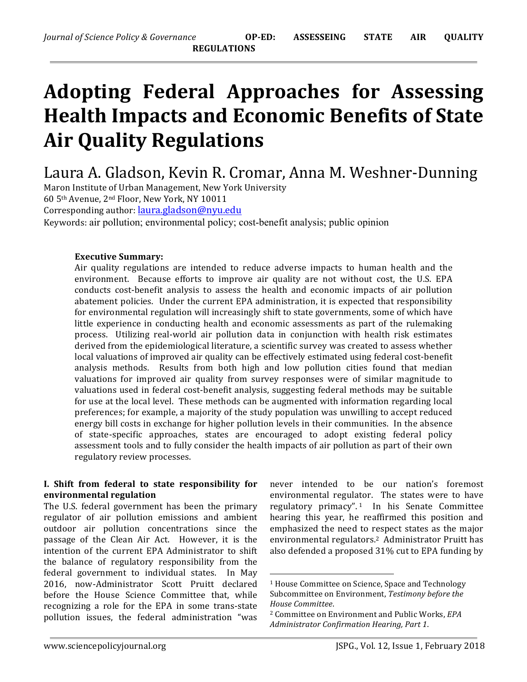# Adopting Federal Approaches for Assessing **Health Impacts and Economic Benefits of State Air Quality Regulations**

Laura A. Gladson, Kevin R. Cromar, Anna M. Weshner-Dunning

Maron Institute of Urban Management, New York University 60 5<sup>th</sup> Avenue, 2<sup>nd</sup> Floor, New York, NY 10011 Corresponding author: *laura.gladson@nyu.edu* 

Keywords: air pollution; environmental policy; cost-benefit analysis; public opinion

## **Executive Summary:**

Air quality regulations are intended to reduce adverse impacts to human health and the environment. Because efforts to improve air quality are not without cost, the U.S. EPA conducts cost-benefit analysis to assess the health and economic impacts of air pollution abatement policies. Under the current EPA administration, it is expected that responsibility for environmental regulation will increasingly shift to state governments, some of which have little experience in conducting health and economic assessments as part of the rulemaking process. Utilizing real-world air pollution data in conjunction with health risk estimates derived from the epidemiological literature, a scientific survey was created to assess whether local valuations of improved air quality can be effectively estimated using federal cost-benefit analysis methods. Results from both high and low pollution cities found that median valuations for improved air quality from survey responses were of similar magnitude to valuations used in federal cost-benefit analysis, suggesting federal methods may be suitable for use at the local level. These methods can be augmented with information regarding local preferences; for example, a majority of the study population was unwilling to accept reduced energy bill costs in exchange for higher pollution levels in their communities. In the absence of state-specific approaches, states are encouraged to adopt existing federal policy assessment tools and to fully consider the health impacts of air pollution as part of their own regulatory review processes.

## **I.** Shift from federal to state responsibility for **environmental regulation**

The U.S. federal government has been the primary regulator of air pollution emissions and ambient outdoor air pollution concentrations since the passage of the Clean Air Act. However, it is the intention of the current EPA Administrator to shift the balance of regulatory responsibility from the federal government to individual states. In May 2016, now-Administrator Scott Pruitt declared before the House Science Committee that, while recognizing a role for the EPA in some trans-state pollution issues, the federal administration "was

never intended to be our nation's foremost environmental regulator. The states were to have regulatory primacy".<sup>1</sup> In his Senate Committee hearing this year, he reaffirmed this position and emphasized the need to respect states as the major environmental regulators.<sup>2</sup> Administrator Pruitt has also defended a proposed 31% cut to EPA funding by

 

<sup>&</sup>lt;sup>1</sup> House Committee on Science, Space and Technology Subcommittee on Environment, Testimony before the *House Committee*.

<sup>&</sup>lt;sup>2</sup> Committee on Environment and Public Works, *EPA Administrator Confirmation Hearing, Part 1*.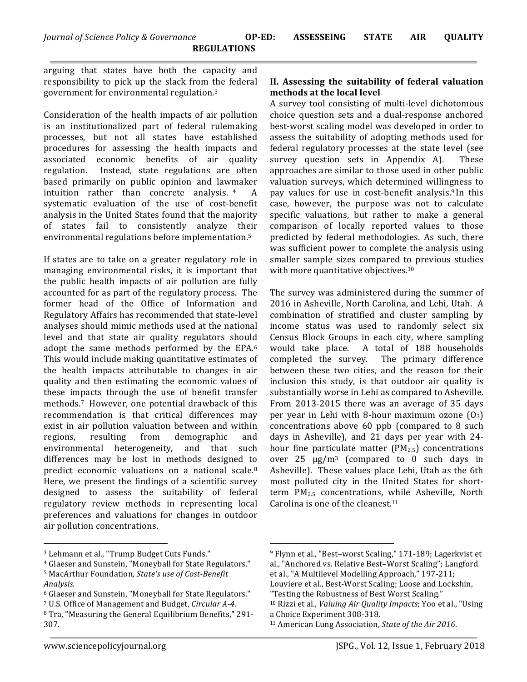arguing that states have both the capacity and responsibility to pick up the slack from the federal government for environmental regulation. $3$ 

Consideration of the health impacts of air pollution is an institutionalized part of federal rulemaking processes, but not all states have established procedures for assessing the health impacts and associated economic benefits of air quality regulation. Instead, state regulations are often based primarily on public opinion and lawmaker intuition rather than concrete analysis.  $4$  A systematic evaluation of the use of cost-benefit analysis in the United States found that the majority of states fail to consistently analyze their environmental regulations before implementation.<sup>5</sup>

If states are to take on a greater regulatory role in managing environmental risks, it is important that the public health impacts of air pollution are fully accounted for as part of the regulatory process. The former head of the Office of Information and Regulatory Affairs has recommended that state-level analyses should mimic methods used at the national level and that state air quality regulators should adopt the same methods performed by the EPA.<sup>6</sup> This would include making quantitative estimates of the health impacts attributable to changes in air quality and then estimating the economic values of these impacts through the use of benefit transfer methods.<sup>7</sup> However, one potential drawback of this recommendation is that critical differences may exist in air pollution valuation between and within regions, resulting from demographic and environmental heterogeneity, and that such differences may be lost in methods designed to predict economic valuations on a national scale.<sup>8</sup> Here, we present the findings of a scientific survey designed to assess the suitability of federal regulatory review methods in representing local preferences and valuations for changes in outdoor air pollution concentrations.

# II. Assessing the suitability of federal valuation **methods at the local level**

A survey tool consisting of multi-level dichotomous choice question sets and a dual-response anchored best-worst scaling model was developed in order to assess the suitability of adopting methods used for federal regulatory processes at the state level (see survey question sets in Appendix A). These approaches are similar to those used in other public valuation surveys, which determined willingness to pay values for use in cost-benefit analysis.<sup>9</sup> In this case, however, the purpose was not to calculate specific valuations, but rather to make a general comparison of locally reported values to those predicted by federal methodologies. As such, there was sufficient power to complete the analysis using smaller sample sizes compared to previous studies with more quantitative objectives.<sup>10</sup>

The survey was administered during the summer of 2016 in Asheville, North Carolina, and Lehi, Utah. A combination of stratified and cluster sampling by income status was used to randomly select six Census Block Groups in each city, where sampling would take place. A total of 188 households completed the survey. The primary difference between these two cities, and the reason for their inclusion this study, is that outdoor air quality is substantially worse in Lehi as compared to Asheville. From 2013-2015 there was an average of 35 days per year in Lehi with 8-hour maximum ozone  $(0_3)$ concentrations above  $60$  ppb (compared to  $8$  such days in Asheville), and 21 days per year with 24hour fine particulate matter  $(PM_{2.5})$  concentrations over  $25 \mu g/m^3$  (compared to 0 such days in Asheville). These values place Lehi, Utah as the 6th most polluted city in the United States for shortterm PM<sub>2.5</sub> concentrations, while Asheville, North Carolina is one of the cleanest.<sup>11</sup>

 

 

<sup>&</sup>lt;sup>3</sup> Lehmann et al., "Trump Budget Cuts Funds."

<sup>&</sup>lt;sup>4</sup> Glaeser and Sunstein, "Moneyball for State Regulators." <sup>5</sup> MacArthur Foundation, *State's use of Cost-Benefit Analysis*.

<sup>&</sup>lt;sup>6</sup> Glaeser and Sunstein, "Moneyball for State Regulators." <sup>7</sup> U.S. Office of Management and Budget, *Circular A-4*.

<sup>&</sup>lt;sup>8</sup> Tra, "Measuring the General Equilibrium Benefits," 291-307. 

<sup>&</sup>lt;sup>9</sup> Flynn et al., "Best-worst Scaling," 171-189; Lagerkvist et al., "Anchored vs. Relative Best-Worst Scaling"; Langford et al., "A Multilevel Modelling Approach," 197-211;

Louviere et al., Best-Worst Scaling; Loose and Lockshin, "Testing the Robustness of Best Worst Scaling."

<sup>&</sup>lt;sup>10</sup> Rizzi et al., *Valuing Air Quality Impacts*; Yoo et al., "Using a Choice Experiment 308-318.

<sup>&</sup>lt;sup>11</sup> American Lung Association, *State of the Air 2016*.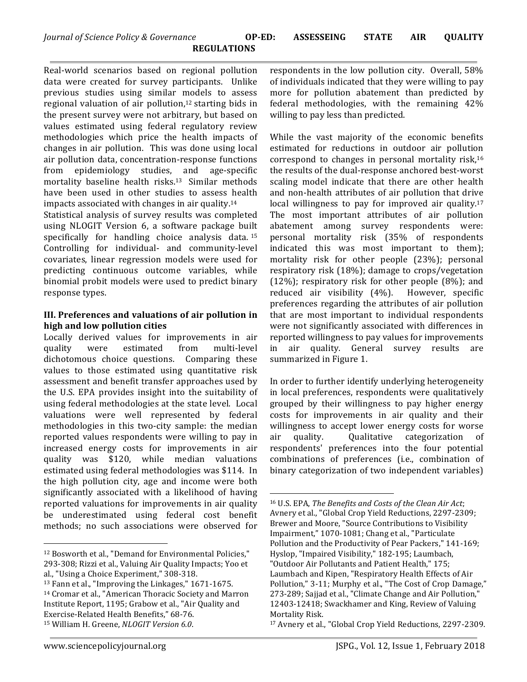Real-world scenarios based on regional pollution data were created for survey participants. Unlike previous studies using similar models to assess regional valuation of air pollution, $12$  starting bids in the present survey were not arbitrary, but based on values estimated using federal regulatory review methodologies which price the health impacts of changes in air pollution. This was done using local air pollution data, concentration-response functions from epidemiology studies, and age-specific mortality baseline health risks.<sup>13</sup> Similar methods have been used in other studies to assess health impacts associated with changes in air quality. $14$ 

Statistical analysis of survey results was completed using NLOGIT Version 6, a software package built specifically for handling choice analysis data.  $15$ Controlling for individual- and community-level covariates, linear regression models were used for predicting continuous outcome variables, while binomial probit models were used to predict binary response types.

# **III.** Preferences and valuations of air pollution in **high and low pollution cities**

Locally derived values for improvements in air quality were estimated from multi-level dichotomous choice questions. Comparing these values to those estimated using quantitative risk assessment and benefit transfer approaches used by the U.S. EPA provides insight into the suitability of using federal methodologies at the state level. Local valuations were well represented by federal methodologies in this two-city sample: the median reported values respondents were willing to pay in increased energy costs for improvements in air quality was \$120, while median valuations estimated using federal methodologies was \$114. In the high pollution city, age and income were both significantly associated with a likelihood of having reported valuations for improvements in air quality be underestimated using federal cost benefit methods; no such associations were observed for

 

respondents in the low pollution city. Overall, 58% of individuals indicated that they were willing to pay more for pollution abatement than predicted by federal methodologies, with the remaining 42% willing to pay less than predicted.

While the vast majority of the economic benefits estimated for reductions in outdoor air pollution correspond to changes in personal mortality risk, $16$ the results of the dual-response anchored best-worst scaling model indicate that there are other health and non-health attributes of air pollution that drive local willingness to pay for improved air quality.<sup>17</sup> The most important attributes of air pollution abatement among survey respondents were: personal mortality risk (35% of respondents indicated this was most important to them); mortality risk for other people (23%); personal respiratory risk (18%); damage to crops/vegetation  $(12\%)$ ; respiratory risk for other people  $(8\%)$ ; and reduced air visibility (4%). However, specific preferences regarding the attributes of air pollution that are most important to individual respondents were not significantly associated with differences in reported willingness to pay values for improvements in air quality. General survey results are summarized in Figure 1.

In order to further identify underlying heterogeneity in local preferences, respondents were qualitatively grouped by their willingness to pay higher energy costs for improvements in air quality and their willingness to accept lower energy costs for worse air quality. Oualitative categorization of respondents' preferences into the four potential combinations of preferences (i.e., combination of binary categorization of two independent variables)

<sup>&</sup>lt;sup>12</sup> Bosworth et al., "Demand for Environmental Policies," 293-308; Rizzi et al., Valuing Air Quality Impacts; Yoo et

al., "Using a Choice Experiment," 308-318.

 $13$  Fann et al., "Improving the Linkages,"  $1671-1675$ . <sup>14</sup> Cromar et al., "American Thoracic Society and Marron Institute Report, 1195; Grabow et al., "Air Quality and Exercise-Related Health Benefits," 68-76. 15 William H. Greene, *NLOGIT Version 6.0*.

 16 U.S. EPA, *The Benefits and Costs of the Clean Air Act*; Avnery et al., "Global Crop Yield Reductions, 2297-2309; Brewer and Moore, "Source Contributions to Visibility Impairment," 1070-1081; Chang et al., "Particulate Pollution and the Productivity of Pear Packers," 141-169; Hyslop, "Impaired Visibility," 182-195; Laumbach, "Outdoor Air Pollutants and Patient Health," 175; Laumbach and Kipen, "Respiratory Health Effects of Air Pollution," 3-11; Murphy et al., "The Cost of Crop Damage," 273-289; Sajjad et al., "Climate Change and Air Pollution," 12403-12418; Swackhamer and King, Review of Valuing Mortality Risk.

<sup>&</sup>lt;sup>17</sup> Avnery et al., "Global Crop Yield Reductions, 2297-2309.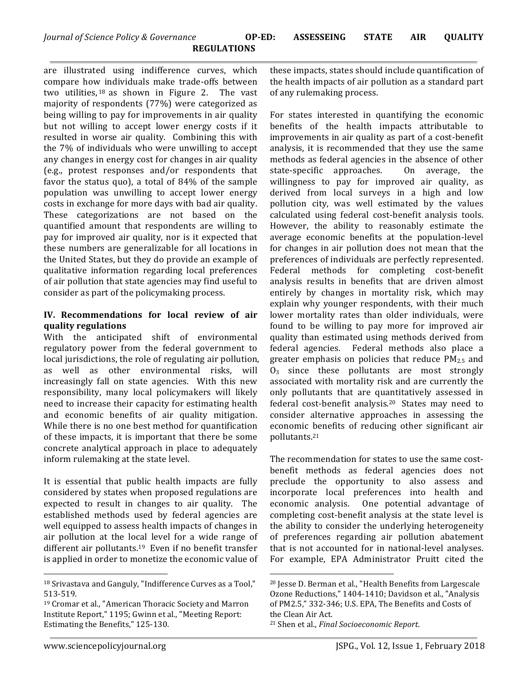are illustrated using indifference curves, which compare how individuals make trade-offs between two utilities,  $18$  as shown in Figure 2. The vast majority of respondents (77%) were categorized as being willing to pay for improvements in air quality but not willing to accept lower energy costs if it resulted in worse air quality. Combining this with the  $7\%$  of individuals who were unwilling to accept any changes in energy cost for changes in air quality (e.g., protest responses and/or respondents that favor the status quo), a total of  $84\%$  of the sample population was unwilling to accept lower energy costs in exchange for more days with bad air quality. These categorizations are not based on the quantified amount that respondents are willing to pay for improved air quality, nor is it expected that these numbers are generalizable for all locations in the United States, but they do provide an example of qualitative information regarding local preferences of air pollution that state agencies may find useful to consider as part of the policymaking process.

#### **IV. Recommendations for local review of air quality regulations**

With the anticipated shift of environmental regulatory power from the federal government to local jurisdictions, the role of regulating air pollution, as well as other environmental risks, will increasingly fall on state agencies. With this new responsibility, many local policymakers will likely need to increase their capacity for estimating health and economic benefits of air quality mitigation. While there is no one best method for quantification of these impacts, it is important that there be some concrete analytical approach in place to adequately inform rulemaking at the state level.

It is essential that public health impacts are fully considered by states when proposed regulations are expected to result in changes to air quality. The established methods used by federal agencies are well equipped to assess health impacts of changes in air pollution at the local level for a wide range of different air pollutants.<sup>19</sup> Even if no benefit transfer is applied in order to monetize the economic value of these impacts, states should include quantification of the health impacts of air pollution as a standard part of any rulemaking process.

For states interested in quantifying the economic benefits of the health impacts attributable to improvements in air quality as part of a cost-benefit analysis, it is recommended that they use the same methods as federal agencies in the absence of other state-specific approaches. On average, the willingness to pay for improved air quality, as derived from local surveys in a high and low pollution city, was well estimated by the values calculated using federal cost-benefit analysis tools. However, the ability to reasonably estimate the average economic benefits at the population-level for changes in air pollution does not mean that the preferences of individuals are perfectly represented. Federal methods for completing cost-benefit analysis results in benefits that are driven almost entirely by changes in mortality risk, which may explain why younger respondents, with their much lower mortality rates than older individuals, were found to be willing to pay more for improved air quality than estimated using methods derived from federal agencies. Federal methods also place a greater emphasis on policies that reduce  $PM_{2.5}$  and  $O_3$  since these pollutants are most strongly associated with mortality risk and are currently the only pollutants that are quantitatively assessed in federal cost-benefit analysis.<sup>20</sup> States may need to consider alternative approaches in assessing the economic benefits of reducing other significant air pollutants.21 

The recommendation for states to use the same costbenefit methods as federal agencies does not preclude the opportunity to also assess and incorporate local preferences into health and economic analysis. One potential advantage of completing cost-benefit analysis at the state level is the ability to consider the underlying heterogeneity of preferences regarding air pollution abatement that is not accounted for in national-level analyses. For example, EPA Administrator Pruitt cited the

 

 

 $18$  Srivastava and Ganguly, "Indifference Curves as a Tool," 513-519.

<sup>&</sup>lt;sup>19</sup> Cromar et al., "American Thoracic Society and Marron Institute Report," 1195; Gwinn et al., "Meeting Report: Estimating the Benefits," 125-130.

<sup>&</sup>lt;sup>20</sup> Jesse D. Berman et al., "Health Benefits from Largescale Ozone Reductions," 1404-1410; Davidson et al., "Analysis of PM2.5," 332-346; U.S. EPA, The Benefits and Costs of the Clean Air Act. <sup>21</sup> Shen et al., *Final Socioeconomic Report*.

www.sciencepolicyjournal.org and the state of the state of SPG., Vol. 12, Issue 1, February 2018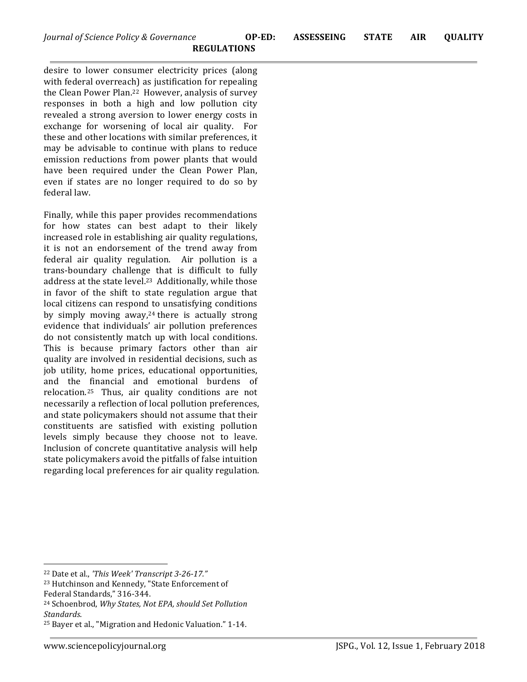desire to lower consumer electricity prices (along with federal overreach) as justification for repealing the Clean Power Plan.<sup>22</sup> However, analysis of survey responses in both a high and low pollution city revealed a strong aversion to lower energy costs in exchange for worsening of local air quality. For these and other locations with similar preferences, it may be advisable to continue with plans to reduce emission reductions from power plants that would have been required under the Clean Power Plan, even if states are no longer required to do so by federal law.

Finally, while this paper provides recommendations for how states can best adapt to their likely increased role in establishing air quality regulations, it is not an endorsement of the trend away from federal air quality regulation. Air pollution is a trans-boundary challenge that is difficult to fully address at the state level.<sup>23</sup> Additionally, while those in favor of the shift to state regulation argue that local citizens can respond to unsatisfying conditions by simply moving away,<sup>24</sup> there is actually strong evidence that individuals' air pollution preferences do not consistently match up with local conditions. This is because primary factors other than air quality are involved in residential decisions, such as job utility, home prices, educational opportunities, and the financial and emotional burdens of relocation.<sup>25</sup> Thus, air quality conditions are not necessarily a reflection of local pollution preferences, and state policymakers should not assume that their constituents are satisfied with existing pollution levels simply because they choose not to leave. Inclusion of concrete quantitative analysis will help state policymakers avoid the pitfalls of false intuition regarding local preferences for air quality regulation.

<sup>24</sup> Schoenbrod, *Why States, Not EPA, should Set Pollution Standards*.

 <sup>22</sup> Date et al., 'This Week' Transcript 3-26-17."

<sup>&</sup>lt;sup>23</sup> Hutchinson and Kennedy, "State Enforcement of Federal Standards," 316-344.

<sup>&</sup>lt;sup>25</sup> Bayer et al., "Migration and Hedonic Valuation." 1-14.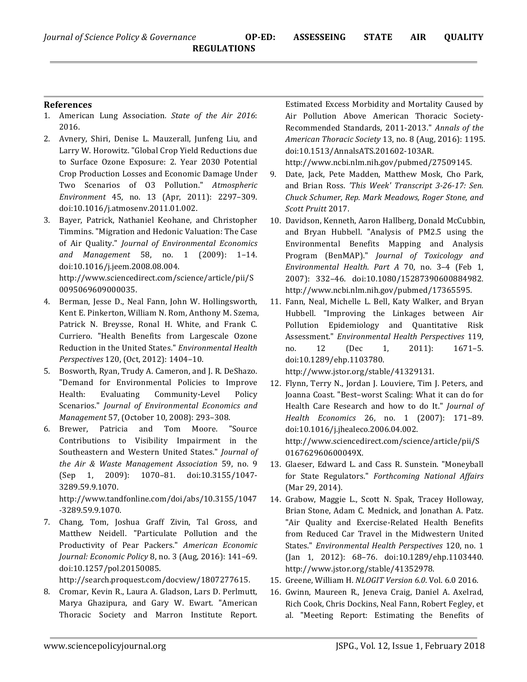#### **References**

- 1. American Lung Association. State of the Air 2016: 2016.
- 2. Avnery, Shiri, Denise L. Mauzerall, Junfeng Liu, and Larry W. Horowitz. "Global Crop Yield Reductions due to Surface Ozone Exposure: 2. Year 2030 Potential Crop Production Losses and Economic Damage Under Two Scenarios of O3 Pollution." Atmospheric *Environment* 45, no. 13 (Apr, 2011): 2297–309. doi:10.1016/j.atmosenv.2011.01.002.
- 3. Bayer, Patrick, Nathaniel Keohane, and Christopher Timmins. "Migration and Hedonic Valuation: The Case of Air Quality." *Journal of Environmental Economics and Management* 58, no. 1 (2009): 1–14. doi:10.1016/j.jeem.2008.08.004.

http://www.sciencedirect.com/science/article/pii/S 0095069609000035.

- 4. Berman, Jesse D., Neal Fann, John W. Hollingsworth, Kent E. Pinkerton, William N. Rom, Anthony M. Szema, Patrick N. Breysse, Ronal H. White, and Frank C. Curriero. "Health Benefits from Largescale Ozone Reduction in the United States." *Environmental Health Perspectives* 120, (Oct, 2012): 1404-10.
- 5. Bosworth, Ryan, Trudy A. Cameron, and J. R. DeShazo. "Demand for Environmental Policies to Improve Health: Evaluating Community-Level Policy Scenarios." Journal of Environmental Economics and *Management* 57, (October 10, 2008): 293-308.
- 6. Brewer, Patricia and Tom Moore. "Source Contributions to Visibility Impairment in the Southeastern and Western United States." *Journal of the Air & Waste Management Association* 59, no. 9 (Sep 1, 2009): 1070–81. doi:10.3155/1047- 3289.59.9.1070.

http://www.tandfonline.com/doi/abs/10.3155/1047 -3289.59.9.1070.

7. Chang, Tom, Joshua Graff Zivin, Tal Gross, and Matthew Neidell. "Particulate Pollution and the Productivity of Pear Packers." American Economic *Journal: Economic Policy* 8, no. 3 (Aug, 2016): 141-69. doi:10.1257/pol.20150085. 

http://search.proquest.com/docview/1807277615.

8. Cromar, Kevin R., Laura A. Gladson, Lars D. Perlmutt, Marya Ghazipura, and Gary W. Ewart. "American Thoracic Society and Marron Institute Report.

Estimated Excess Morbidity and Mortality Caused by Air Pollution Above American Thoracic Society-Recommended Standards, 2011-2013." Annals of the *American Thoracic Society* 13, no. 8 (Aug, 2016): 1195. doi:10.1513/AnnalsATS.201602-103AR. 

http://www.ncbi.nlm.nih.gov/pubmed/27509145.

- 9. Date, Jack, Pete Madden, Matthew Mosk, Cho Park, and Brian Ross. *'This Week' Transcript 3-26-17: Sen. Chuck Schumer, Rep. Mark Meadows, Roger Stone, and Scott Pruitt* 2017.
- 10. Davidson, Kenneth, Aaron Hallberg, Donald McCubbin, and Bryan Hubbell. "Analysis of PM2.5 using the Environmental Benefits Mapping and Analysis Program (BenMAP)." *Journal of Toxicology and Environmental Health. Part A* 70, no. 3–4 (Feb 1, 2007): 332–46. doi:10.1080/15287390600884982. http://www.ncbi.nlm.nih.gov/pubmed/17365595.
- 11. Fann, Neal, Michelle L. Bell, Katy Walker, and Bryan Hubbell. "Improving the Linkages between Air Pollution Epidemiology and Quantitative Risk Assessment." *Environmental Health Perspectives* 119, no. 12 (Dec 1, 2011): 1671–5. doi:10.1289/ehp.1103780. http://www.jstor.org/stable/41329131.
- 12. Flynn, Terry N., Jordan J. Louviere, Tim J. Peters, and Joanna Coast. "Best-worst Scaling: What it can do for Health Care Research and how to do It." *Journal of Health Economics* 26, no. 1 (2007): 171–89. doi:10.1016/j.jhealeco.2006.04.002. http://www.sciencedirect.com/science/article/pii/S 016762960600049X.
- 13. Glaeser, Edward L. and Cass R. Sunstein. "Moneyball for State Regulators." Forthcoming National Affairs (Mar 29, 2014).
- 14. Grabow, Maggie L., Scott N. Spak, Tracey Holloway, Brian Stone, Adam C. Mednick, and Jonathan A. Patz. "Air Quality and Exercise-Related Health Benefits from Reduced Car Travel in the Midwestern United States." *Environmental Health Perspectives* 120, no. 1 (Jan 1, 2012): 68–76. doi:10.1289/ehp.1103440. http://www.jstor.org/stable/41352978.
- 15. Greene, William H. *NLOGIT Version 6.0*. Vol. 6.0 2016.
- 16. Gwinn, Maureen R., Jeneva Craig, Daniel A. Axelrad, Rich Cook, Chris Dockins, Neal Fann, Robert Fegley, et al. "Meeting Report: Estimating the Benefits of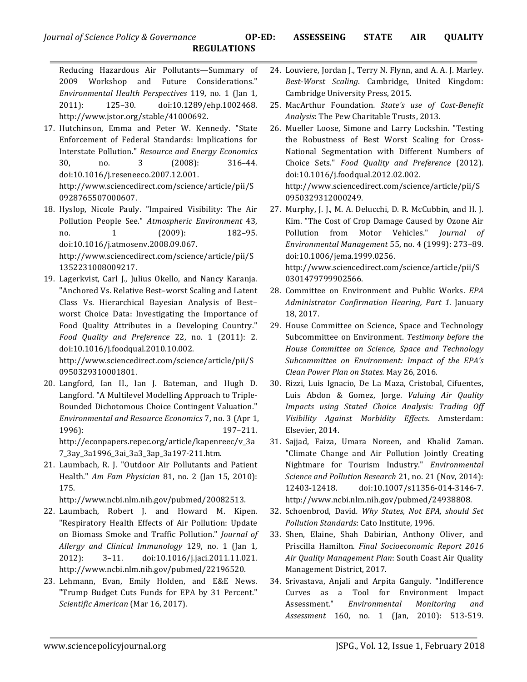Reducing Hazardous Air Pollutants—Summary of 2009 Workshop and Future Considerations." *Environmental Health Perspectives* 119, no. 1 (Jan 1, 2011): 125–30. doi:10.1289/ehp.1002468. http://www.jstor.org/stable/41000692.

- 17. Hutchinson, Emma and Peter W. Kennedy. "State Enforcement of Federal Standards: Implications for Interstate Pollution." *Resource and Energy Economics* 30, no. 3 (2008): 316-44. doi:10.1016/j.reseneeco.2007.12.001. http://www.sciencedirect.com/science/article/pii/S 0928765507000607.
- 18. Hyslop, Nicole Pauly. "Impaired Visibility: The Air Pollution People See." *Atmospheric Environment* 43, no. 1 (2009): 182–95. doi:10.1016/j.atmosenv.2008.09.067.

http://www.sciencedirect.com/science/article/pii/S 1352231008009217.

19. Lagerkvist, Carl J., Julius Okello, and Nancy Karanja. "Anchored Vs. Relative Best-worst Scaling and Latent Class Vs. Hierarchical Bayesian Analysis of Best– worst Choice Data: Investigating the Importance of Food Quality Attributes in a Developing Country." *Food Quality and Preference* 22, no. 1 (2011): 2. doi:10.1016/j.foodqual.2010.10.002. 

http://www.sciencedirect.com/science/article/pii/S 0950329310001801.

- 20. Langford, Ian H., Ian J. Bateman, and Hugh D. Langford. "A Multilevel Modelling Approach to Triple-Bounded Dichotomous Choice Contingent Valuation." *Environmental and Resource Economics* 7, no. 3 (Apr 1, 1996): 197–211. http://econpapers.repec.org/article/kapenreec/v\_3a 7\_3ay\_3a1996\_3ai\_3a3\_3ap\_3a197-211.htm.
- 21. Laumbach, R. J. "Outdoor Air Pollutants and Patient Health." *Am Fam Physician* 81, no. 2 (Jan 15, 2010): 175.

http://www.ncbi.nlm.nih.gov/pubmed/20082513.

- 22. Laumbach, Robert J. and Howard M. Kipen. "Respiratory Health Effects of Air Pollution: Update on Biomass Smoke and Traffic Pollution." *Journal of Allergy and Clinical Immunology* 129, no. 1 (Jan 1, 2012): 3–11. doi:10.1016/j.jaci.2011.11.021. http://www.ncbi.nlm.nih.gov/pubmed/22196520.
- 23. Lehmann, Evan, Emily Holden, and E&E News. "Trump Budget Cuts Funds for EPA by 31 Percent." *Scientific American* (Mar 16, 2017).
- 24. Louviere, Jordan J., Terry N. Flynn, and A. A. J. Marley. *Best-Worst Scaling*. Cambridge, United Kingdom: Cambridge University Press, 2015.
- 25. MacArthur Foundation. State's use of Cost-Benefit *Analysis*: The Pew Charitable Trusts, 2013.
- 26. Mueller Loose, Simone and Larry Lockshin. "Testing the Robustness of Best Worst Scaling for Cross-National Segmentation with Different Numbers of Choice Sets." *Food Quality and Preference* (2012). doi:10.1016/j.foodqual.2012.02.002. http://www.sciencedirect.com/science/article/pii/S 0950329312000249.

27. Murphy, J. J., M. A. Delucchi, D. R. McCubbin, and H. J. Kim. "The Cost of Crop Damage Caused by Ozone Air Pollution from Motor Vehicles." *Journal of Environmental Management* 55, no. 4 (1999): 273–89. doi:10.1006/jema.1999.0256. http://www.sciencedirect.com/science/article/pii/S 0301479799902566.

- 28. Committee on Environment and Public Works. *EPA Administrator Confirmation Hearing, Part 1.*  January 18, 2017.
- 29. House Committee on Science, Space and Technology Subcommittee on Environment. Testimony before the *House Committee on Science, Space and Technology*  Subcommittee on Environment: Impact of the EPA's *Clean Power Plan on States.* May 26, 2016.
- 30. Rizzi, Luis Ignacio, De La Maza, Cristobal, Cifuentes, Luis Abdon & Gomez, Jorge. *Valuing Air Quality Impacts using Stated Choice Analysis: Trading Off Visibility Against Morbidity Effects*. Amsterdam: Elsevier, 2014.
- 31. Sajjad, Faiza, Umara Noreen, and Khalid Zaman. "Climate Change and Air Pollution Jointly Creating Nightmare for Tourism Industry." *Environmental Science and Pollution Research* 21, no. 21 (Nov, 2014): 12403-12418. doi:10.1007/s11356-014-3146-7. http://www.ncbi.nlm.nih.gov/pubmed/24938808.
- 32. Schoenbrod, David. Why States, Not EPA, should Set *Pollution Standards*: Cato Institute, 1996.
- 33. Shen, Elaine, Shah Dabirian, Anthony Oliver, and Priscilla Hamilton*. Final Socioeconomic Report 2016*  Air Quality Management Plan: South Coast Air Quality Management District, 2017.
- 34. Srivastava, Anjali and Arpita Ganguly. "Indifference Curves as a Tool for Environment Impact Assessment." *Environmental Monitoring and Assessment* 160, no. 1 (Jan, 2010): 513-519.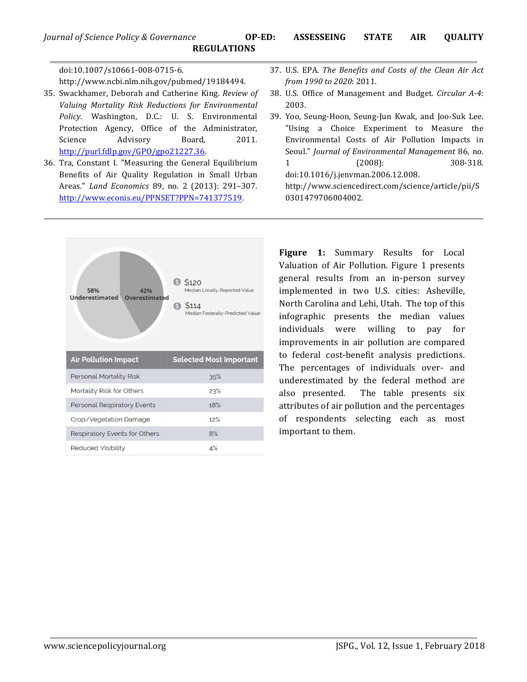doi:10.1007/s10661-008-0715-6. http://www.ncbi.nlm.nih.gov/pubmed/19184494.

- 35. Swackhamer, Deborah and Catherine King. *Review of* Valuing Mortality Risk Reductions for Environmental Policy. Washington, D.C.: U. S. Environmental Protection Agency, Office of the Administrator, Science Advisory Board, 2011. http://purl.fdlp.gov/GPO/gpo21227.36.
- 36. Tra, Constant I. "Measuring the General Equilibrium Benefits of Air Quality Regulation in Small Urban Areas." *Land Economics* 89, no. 2 (2013): 291–307. http://www.econis.eu/PPNSET?PPN=741377519.



- 37. U.S. EPA. The Benefits and Costs of the Clean Air Act *from 1990 to 2020*: 2011.
- 38. U.S. Office of Management and Budget. *Circular A-4*: 2003.
- 39. Yoo, Seung-Hoon, Seung-Jun Kwak, and Joo-Suk Lee. "Using a Choice Experiment to Measure the Environmental Costs of Air Pollution Impacts in Seoul." *Journal of Environmental Management* 86, no. 1 (2008): 308-318. doi:10.1016/j.jenvman.2006.12.008.

http://www.sciencedirect.com/science/article/pii/S 0301479706004002.

Figure 1: Summary Results for Local Valuation of Air Pollution. Figure 1 presents general results from an in-person survey implemented in two U.S. cities: Asheville, North Carolina and Lehi, Utah. The top of this infographic presents the median values individuals were willing to pay for improvements in air pollution are compared to federal cost-benefit analysis predictions. The percentages of individuals over- and underestimated by the federal method are also presented. The table presents six attributes of air pollution and the percentages of respondents selecting each as most important to them.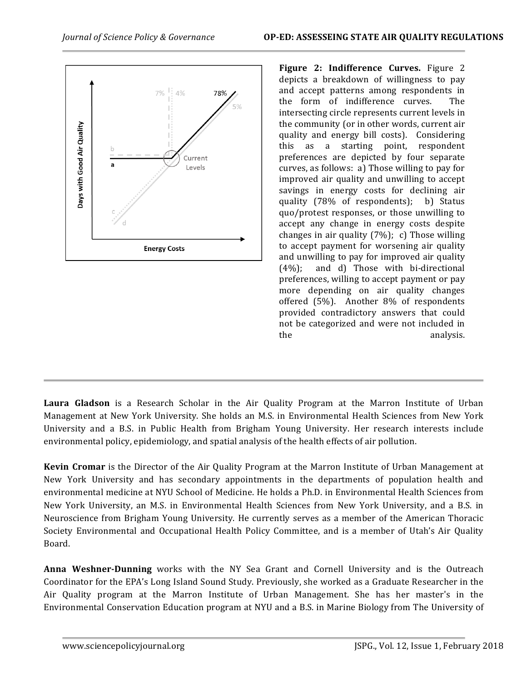

**Figure 2: Indifference Curves.** Figure 2 depicts a breakdown of willingness to pay and accept patterns among respondents in the form of indifference curves. The intersecting circle represents current levels in the community (or in other words, current air quality and energy bill costs). Considering this as a starting point, respondent preferences are depicted by four separate curves, as follows: a) Those willing to pay for improved air quality and unwilling to accept savings in energy costs for declining air quality (78% of respondents); b) Status quo/protest responses, or those unwilling to accept any change in energy costs despite changes in air quality  $(7%)$ ; c) Those willing to accept payment for worsening air quality and unwilling to pay for improved air quality  $(4%)$ ; and d) Those with bi-directional preferences, willing to accept payment or pay more depending on air quality changes offered  $(5\%)$ . Another  $8\%$  of respondents provided contradictory answers that could not be categorized and were not included in the analysis.

**Laura Gladson** is a Research Scholar in the Air Quality Program at the Marron Institute of Urban Management at New York University. She holds an M.S. in Environmental Health Sciences from New York University and a B.S. in Public Health from Brigham Young University. Her research interests include environmental policy, epidemiology, and spatial analysis of the health effects of air pollution.

**Kevin Cromar** is the Director of the Air Quality Program at the Marron Institute of Urban Management at New York University and has secondary appointments in the departments of population health and environmental medicine at NYU School of Medicine. He holds a Ph.D. in Environmental Health Sciences from New York University, an M.S. in Environmental Health Sciences from New York University, and a B.S. in Neuroscience from Brigham Young University. He currently serves as a member of the American Thoracic Society Environmental and Occupational Health Policy Committee, and is a member of Utah's Air Quality Board.

**Anna Weshner-Dunning** works with the NY Sea Grant and Cornell University and is the Outreach Coordinator for the EPA's Long Island Sound Study. Previously, she worked as a Graduate Researcher in the Air Quality program at the Marron Institute of Urban Management. She has her master's in the Environmental Conservation Education program at NYU and a B.S. in Marine Biology from The University of